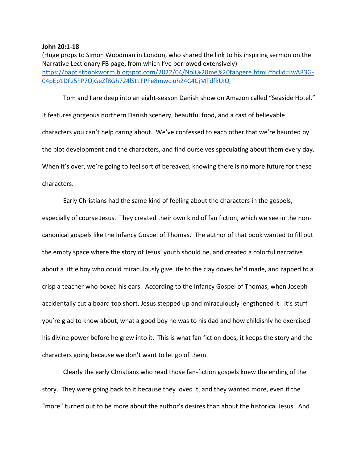## **John 20:1-18**

(Huge props to Simon Woodman in London, who shared the link to his inspiring sermon on the Narrative Lectionary FB page, from which I've borrowed extensively) [https://baptistbookworm.blogspot.com/2022/04/Noli%20me%20tangere.html?fbclid=IwAR3G-](https://baptistbookworm.blogspot.com/2022/04/Noli%20me%20tangere.html?fbclid=IwAR3G-04pEp1DFz5FP7QiGeZf8Gh724lSt1FPFe8mwciuh24C4CjMTdfkUiQ)[04pEp1DFz5FP7QiGeZf8Gh724lSt1FPFe8mwciuh24C4CjMTdfkUiQ](https://baptistbookworm.blogspot.com/2022/04/Noli%20me%20tangere.html?fbclid=IwAR3G-04pEp1DFz5FP7QiGeZf8Gh724lSt1FPFe8mwciuh24C4CjMTdfkUiQ)

Tom and I are deep into an eight-season Danish show on Amazon called "Seaside Hotel." It features gorgeous northern Danish scenery, beautiful food, and a cast of believable characters you can't help caring about. We've confessed to each other that we're haunted by the plot development and the characters, and find ourselves speculating about them every day. When it's over, we're going to feel sort of bereaved, knowing there is no more future for these characters.

Early Christians had the same kind of feeling about the characters in the gospels, especially of course Jesus. They created their own kind of fan fiction, which we see in the noncanonical gospels like the Infancy Gospel of Thomas. The author of that book wanted to fill out the empty space where the story of Jesus' youth should be, and created a colorful narrative about a little boy who could miraculously give life to the clay doves he'd made, and zapped to a crisp a teacher who boxed his ears. According to the Infancy Gospel of Thomas, when Joseph accidentally cut a board too short, Jesus stepped up and miraculously lengthened it. It's stuff you're glad to know about, what a good boy he was to his dad and how childishly he exercised his divine power before he grew into it. This is what fan fiction does, it keeps the story and the characters going because we don't want to let go of them.

Clearly the early Christians who read those fan-fiction gospels knew the ending of the story. They were going back to it because they loved it, and they wanted more, even if the "more" turned out to be more about the author's desires than about the historical Jesus. And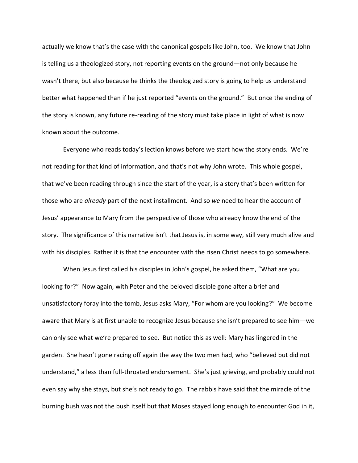actually we know that's the case with the canonical gospels like John, too. We know that John is telling us a theologized story, not reporting events on the ground—not only because he wasn't there, but also because he thinks the theologized story is going to help us understand better what happened than if he just reported "events on the ground." But once the ending of the story is known, any future re-reading of the story must take place in light of what is now known about the outcome.

Everyone who reads today's lection knows before we start how the story ends. We're not reading for that kind of information, and that's not why John wrote. This whole gospel, that we've been reading through since the start of the year, is a story that's been written for those who are *already* part of the next installment. And so *we* need to hear the account of Jesus' appearance to Mary from the perspective of those who already know the end of the story. The significance of this narrative isn't that Jesus is, in some way, still very much alive and with his disciples. Rather it is that the encounter with the risen Christ needs to go somewhere.

When Jesus first called his disciples in John's gospel, he asked them, "What are you looking for?" Now again, with Peter and the beloved disciple gone after a brief and unsatisfactory foray into the tomb, Jesus asks Mary, "For whom are you looking?" We become aware that Mary is at first unable to recognize Jesus because she isn't prepared to see him—we can only see what we're prepared to see. But notice this as well: Mary has lingered in the garden. She hasn't gone racing off again the way the two men had, who "believed but did not understand," a less than full-throated endorsement. She's just grieving, and probably could not even say why she stays, but she's not ready to go. The rabbis have said that the miracle of the burning bush was not the bush itself but that Moses stayed long enough to encounter God in it,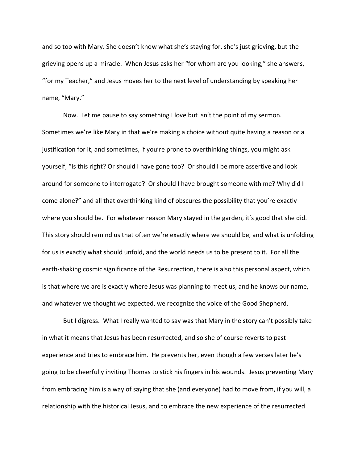and so too with Mary. She doesn't know what she's staying for, she's just grieving, but the grieving opens up a miracle. When Jesus asks her "for whom are you looking," she answers, "for my Teacher," and Jesus moves her to the next level of understanding by speaking her name, "Mary."

Now. Let me pause to say something I love but isn't the point of my sermon. Sometimes we're like Mary in that we're making a choice without quite having a reason or a justification for it, and sometimes, if you're prone to overthinking things, you might ask yourself, "Is this right? Or should I have gone too? Or should I be more assertive and look around for someone to interrogate? Or should I have brought someone with me? Why did I come alone?" and all that overthinking kind of obscures the possibility that you're exactly where you should be. For whatever reason Mary stayed in the garden, it's good that she did. This story should remind us that often we're exactly where we should be, and what is unfolding for us is exactly what should unfold, and the world needs us to be present to it. For all the earth-shaking cosmic significance of the Resurrection, there is also this personal aspect, which is that where we are is exactly where Jesus was planning to meet us, and he knows our name, and whatever we thought we expected, we recognize the voice of the Good Shepherd.

But I digress. What I really wanted to say was that Mary in the story can't possibly take in what it means that Jesus has been resurrected, and so she of course reverts to past experience and tries to embrace him. He prevents her, even though a few verses later he's going to be cheerfully inviting Thomas to stick his fingers in his wounds. Jesus preventing Mary from embracing him is a way of saying that she (and everyone) had to move from, if you will, a relationship with the historical Jesus, and to embrace the new experience of the resurrected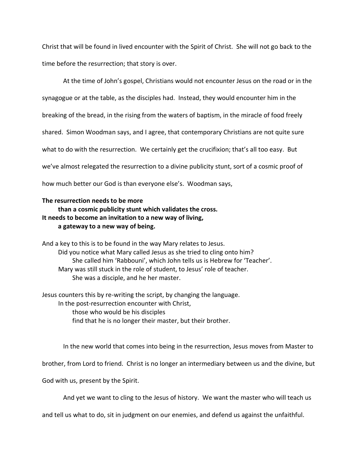Christ that will be found in lived encounter with the Spirit of Christ. She will not go back to the time before the resurrection; that story is over.

At the time of John's gospel, Christians would not encounter Jesus on the road or in the synagogue or at the table, as the disciples had. Instead, they would encounter him in the breaking of the bread, in the rising from the waters of baptism, in the miracle of food freely shared. Simon Woodman says, and I agree, that contemporary Christians are not quite sure what to do with the resurrection. We certainly get the crucifixion; that's all too easy. But we've almost relegated the resurrection to a divine publicity stunt, sort of a cosmic proof of how much better our God is than everyone else's. Woodman says,

## **The resurrection needs to be more**

## **than a cosmic publicity stunt which validates the cross. It needs to become an invitation to a new way of living, a gateway to a new way of being.**

And a key to this is to be found in the way Mary relates to Jesus. Did you notice what Mary called Jesus as she tried to cling onto him? She called him 'Rabbouni', which John tells us is Hebrew for 'Teacher'. Mary was still stuck in the role of student, to Jesus' role of teacher. She was a disciple, and he her master.

Jesus counters this by re-writing the script, by changing the language. In the post-resurrection encounter with Christ, those who would be his disciples find that he is no longer their master, but their brother.

In the new world that comes into being in the resurrection, Jesus moves from Master to

brother, from Lord to friend. Christ is no longer an intermediary between us and the divine, but

God with us, present by the Spirit.

And yet we want to cling to the Jesus of history. We want the master who will teach us

and tell us what to do, sit in judgment on our enemies, and defend us against the unfaithful.